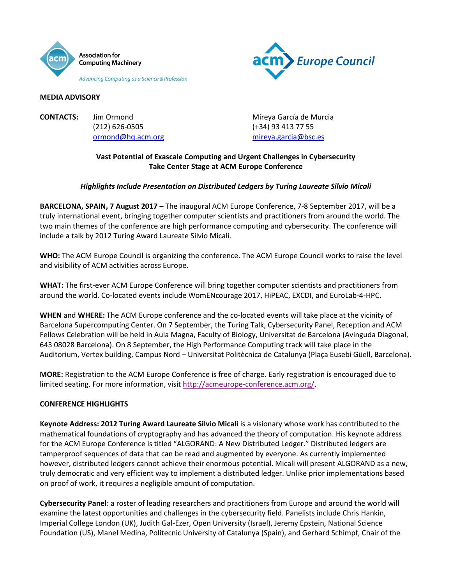



### **MEDIA ADVISORY**

**CONTACTS:** Jim Ormond **Mireya García de Murcia** (212) 626-0505 (+34) 93 413 77 55

[ormond@hq.acm.org](mailto:ormond@hq.acm.org) [mireya.garcia@bsc.es](mailto:mireya.garcia@bsc.es)

# **Vast Potential of Exascale Computing and Urgent Challenges in Cybersecurity Take Center Stage at ACM Europe Conference**

## *Highlights Include Presentation on Distributed Ledgers by Turing Laureate Silvio Micali*

**BARCELONA, SPAIN, 7 August 2017** – The inaugural ACM Europe Conference, 7-8 September 2017, will be a truly international event, bringing together computer scientists and practitioners from around the world. The two main themes of the conference are high performance computing and cybersecurity. The conference will include a talk by 2012 Turing Award Laureate Silvio Micali.

**WHO:** The ACM Europe Council is organizing the conference. The ACM Europe Council works to raise the level and visibility of ACM activities across Europe.

**WHAT:** The first-ever ACM Europe Conference will bring together computer scientists and practitioners from around the world. Co-located events include WomENcourage 2017, HiPEAC, EXCDI, and EuroLab-4-HPC.

**WHEN** and **WHERE:** The ACM Europe conference and the co-located events will take place at the vicinity of Barcelona Supercomputing Center. On 7 September, the Turing Talk, Cybersecurity Panel, Reception and ACM Fellows Celebration will be held in Aula Magna, Faculty of Biology, Universitat de Barcelona (Avinguda Diagonal, 643 08028 Barcelona). On 8 September, the High Performance Computing track will take place in the Auditorium, Vertex building, Campus Nord – Universitat Politècnica de Catalunya (Plaça Eusebi Güell, Barcelona).

**MORE:** Registration to the ACM Europe Conference is free of charge. Early registration is encouraged due to limited seating. For more information, visi[t http://acmeurope-conference.acm.org/.](http://acmeurope-conference.acm.org/)

## **CONFERENCE HIGHLIGHTS**

**Keynote Address: 2012 Turing Award Laureate Silvio Micali** is a visionary whose work has contributed to the mathematical foundations of cryptography and has advanced the theory of computation. His keynote address for the ACM Europe Conference is titled "ALGORAND: A New Distributed Ledger." Distributed ledgers are tamperproof sequences of data that can be read and augmented by everyone. As currently implemented however, distributed ledgers cannot achieve their enormous potential. Micali will present ALGORAND as a new, truly democratic and very efficient way to implement a distributed ledger. Unlike prior implementations based on proof of work, it requires a negligible amount of computation.

**Cybersecurity Panel**: a roster of leading researchers and practitioners from Europe and around the world will examine the latest opportunities and challenges in the cybersecurity field. Panelists include Chris Hankin, Imperial College London (UK), Judith Gal-Ezer, Open University (Israel), Jeremy Epstein, National Science Foundation (US), Manel Medina, Politecnic University of Catalunya (Spain), and Gerhard Schimpf, Chair of the